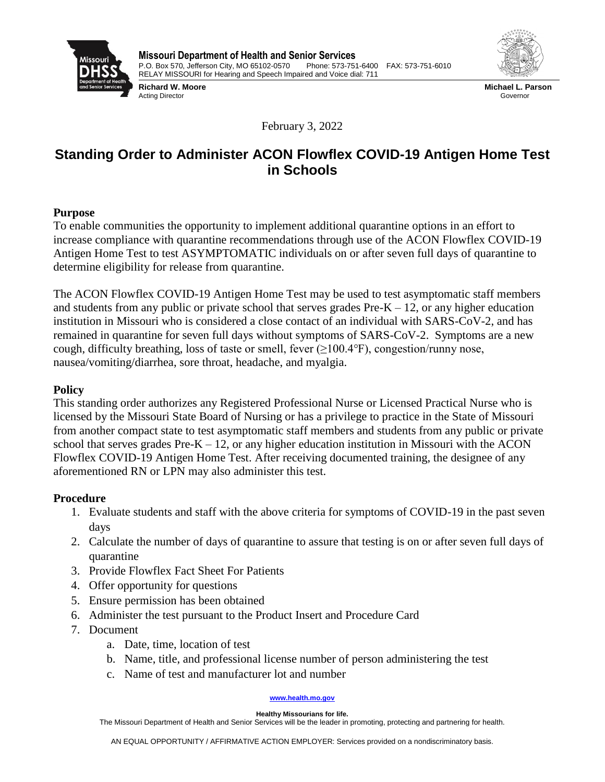

**Richard W. Moore** Acting Director



**Michael L. Parson** Governor

February 3, 2022

# **Standing Order to Administer ACON Flowflex COVID-19 Antigen Home Test in Schools**

## **Purpose**

To enable communities the opportunity to implement additional quarantine options in an effort to increase compliance with quarantine recommendations through use of the ACON Flowflex COVID-19 Antigen Home Test to test ASYMPTOMATIC individuals on or after seven full days of quarantine to determine eligibility for release from quarantine.

The ACON Flowflex COVID-19 Antigen Home Test may be used to test asymptomatic staff members and students from any public or private school that serves grades  $Pre-K - 12$ , or any higher education institution in Missouri who is considered a close contact of an individual with SARS-CoV-2, and has remained in quarantine for seven full days without symptoms of SARS-CoV-2. Symptoms are a new cough, difficulty breathing, loss of taste or smell, fever  $(\geq 100.4^{\circ}F)$ , congestion/runny nose, nausea/vomiting/diarrhea, sore throat, headache, and myalgia.

# **Policy**

This standing order authorizes any Registered Professional Nurse or Licensed Practical Nurse who is licensed by the Missouri State Board of Nursing or has a privilege to practice in the State of Missouri from another compact state to test asymptomatic staff members and students from any public or private school that serves grades  $Pre-K - 12$ , or any higher education institution in Missouri with the ACON Flowflex COVID-19 Antigen Home Test. After receiving documented training, the designee of any aforementioned RN or LPN may also administer this test.

## **Procedure**

- 1. Evaluate students and staff with the above criteria for symptoms of COVID-19 in the past seven days
- 2. Calculate the number of days of quarantine to assure that testing is on or after seven full days of quarantine
- 3. Provide Flowflex Fact Sheet For Patients
- 4. Offer opportunity for questions
- 5. Ensure permission has been obtained
- 6. Administer the test pursuant to the Product Insert and Procedure Card
- 7. Document
	- a. Date, time, location of test
	- b. Name, title, and professional license number of person administering the test
	- c. Name of test and manufacturer lot and number

#### **[www.health.mo.gov](http://www.health.mo.gov/)**

**Healthy Missourians for life.**

The Missouri Department of Health and Senior Services will be the leader in promoting, protecting and partnering for health.